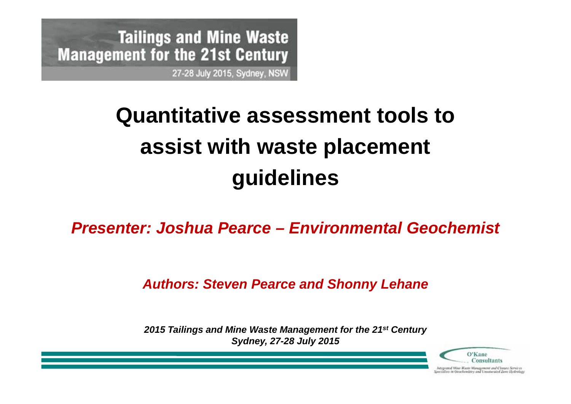**Tailings and Mine Waste Management for the 21st Century** 27-28 July 2015, Sydney, NSW

# **Quantitative assessment tools to assist with waste placement guidelines**

*Presenter: Joshua Pearce – Environmental Geochemist*

### *Authors: Steven Pearce and Shonny Lehane*

*2015 Tailings and Mine Waste Management for the 21st Century Sydney, 27-28 July 2015*

O'Kane Consultants

hitsgrated More Waste Management and Closure Services<br>seculists in Geochemates and Unsaturated Zeme Holrology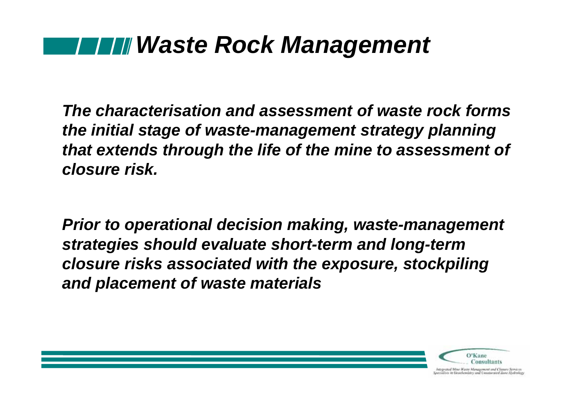### *Waste Rock Management*

*The characterisation and assessment of waste rock forms the initial stage of waste-management strategy planning that extends through the life of the mine to assessment of closure risk.*

*Prior to operational decision making, waste-management strategies should evaluate short-term and long-term closure risks associated with the exposure, stockpiling and placement of waste materials*

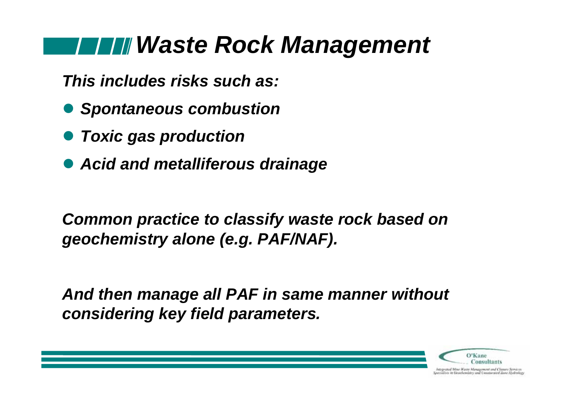### *Waste Rock Management*

*This includes risks such as:*

- *Spontaneous combustion*
- *Toxic gas production*
- *Acid and metalliferous drainage*

*Common practice to classify waste rock based on geochemistry alone (e.g. PAF/NAF).*

*And then manage all PAF in same manner without considering key field parameters.*

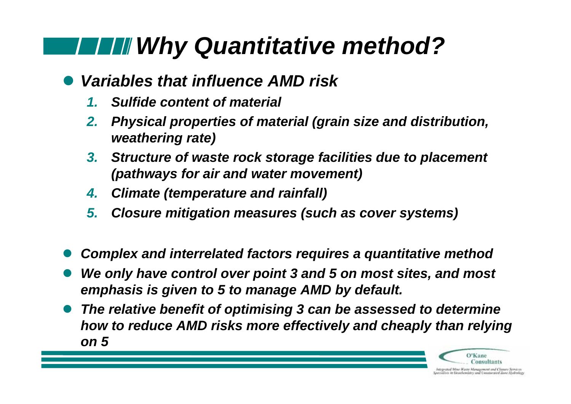# *Why Quantitative method?*

#### $\bullet$ *Variables that influence AMD risk*

- *1.Sulfide content of material*
- *2. Physical properties of material (grain size and distribution, weathering rate)*
- *3. Structure of waste rock storage facilities due to placement (pathways for air and water movement)*
- *4.Climate (temperature and rainfall)*
- *5. Closure mitigation measures (such as cover systems)*
- $\bullet$ *Complex and interrelated factors requires a quantitative method*
- $\bullet$  *We only have control over point 3 and 5 on most sites, and most emphasis is given to 5 to manage AMD by default.*
- $\bullet$  *The relative benefit of optimising 3 can be assessed to determine how to reduce AMD risks more effectively and cheaply than relying on 5*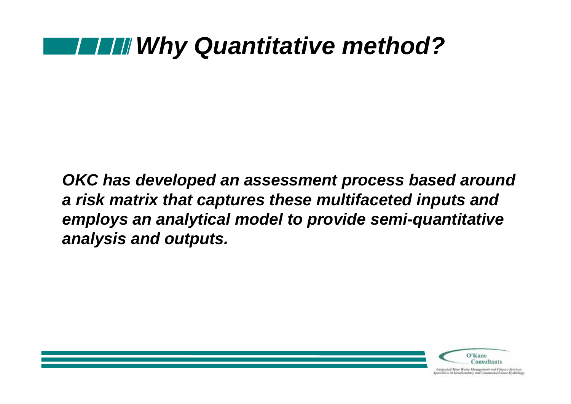### *Why Quantitative method?*

*OKC has developed an assessment process based around a risk matrix that captures these multifaceted inputs and employs an analytical model to provide semi-quantitative analysis and outputs.*

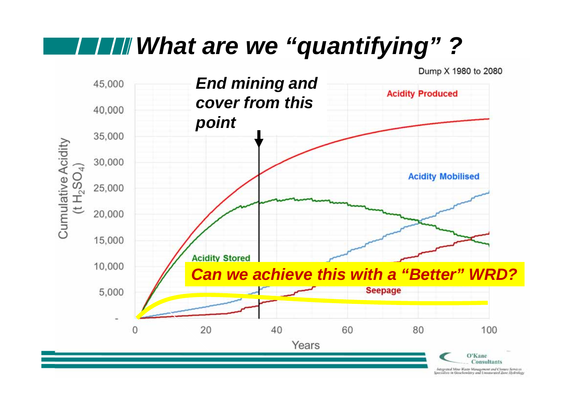## *What are we "quantifying" ?*

Dump X 1980 to 2080

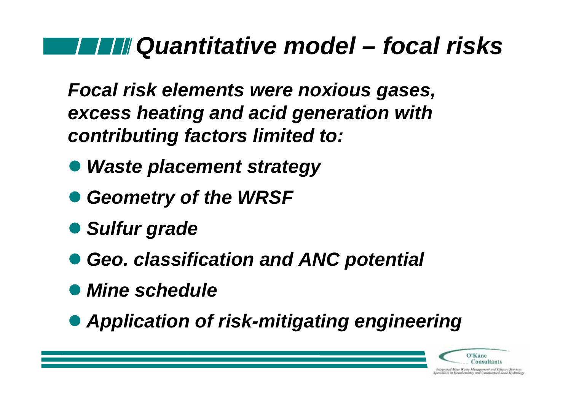### *Quantitative model – focal risks*

*Focal risk elements were noxious gases, excess heating and acid generation with contributing factors limited to:*

- *Waste placement strategy*
- *Geometry of the WRSF*
- *Sulfur grade*
- *Geo. classification and ANC potential*
- *Mine schedule*
- *Application of risk-mitigating engineering*

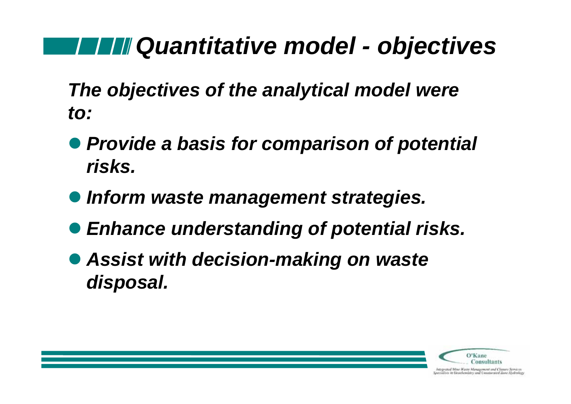## *Quantitative model - objectives*

*The objectives of the analytical model were to:*

- *Provide a basis for comparison of potential risks.*
- *Inform waste management strategies.*
- *Enhance understanding of potential risks.*
- *Assist with decision-making on waste disposal.*

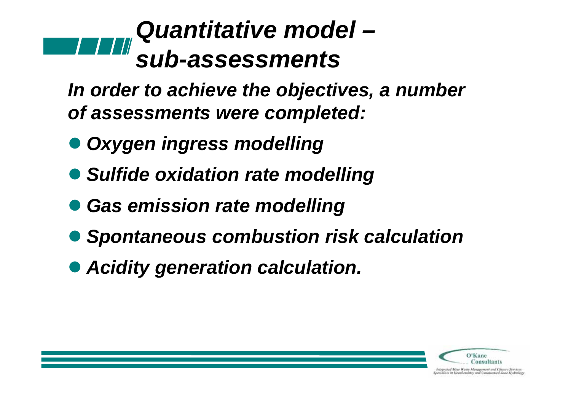### *Quantitative model –sub-assessments*

*In order to achieve the objectives, a number of assessments were completed:*

- *Oxygen ingress modelling*
- *Sulfide oxidation rate modelling*
- *Gas emission rate modelling*
- *Spontaneous combustion risk calculation*
- *Acidity generation calculation.*

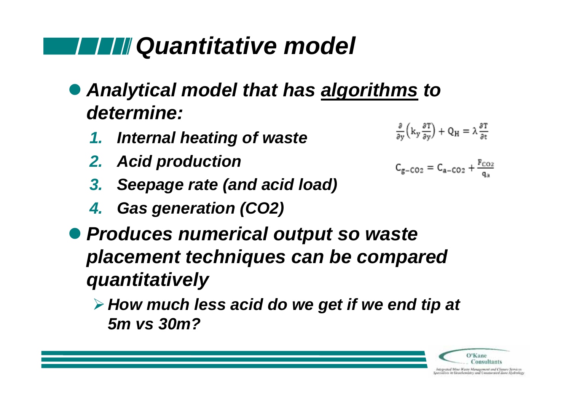## *Quantitative model*

- *Analytical model that has algorithms to determine:*   $\frac{\partial}{\partial y}\left(k_y \frac{\partial T}{\partial y}\right) + Q_H = \lambda \frac{\partial T}{\partial t}$ 
	- *1. Internal heating of waste*
	- *2. Acid production*
	- *3. Seepage rate (and acid load)*
	- *4. Gas generation (CO2)*
- *Produces numerical output so waste placement techniques can be compared quantitatively* 
	- *How much less acid do we get if we end tip at 5m vs 30m?*

 $C_{g-CO2} = C_{a-CO2} + \frac{F_{CO2}}{g_{0}}$ 

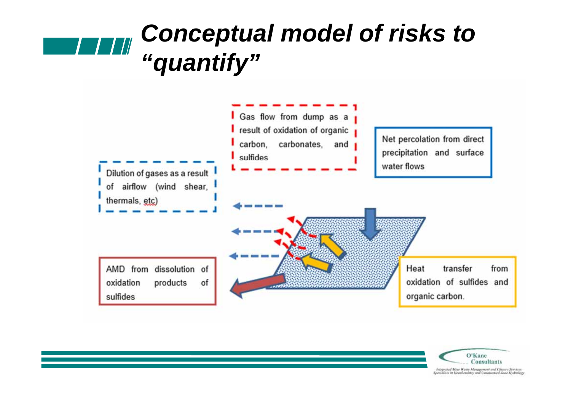### *Conceptual model of risks to*  **TIM** *"quantify"*



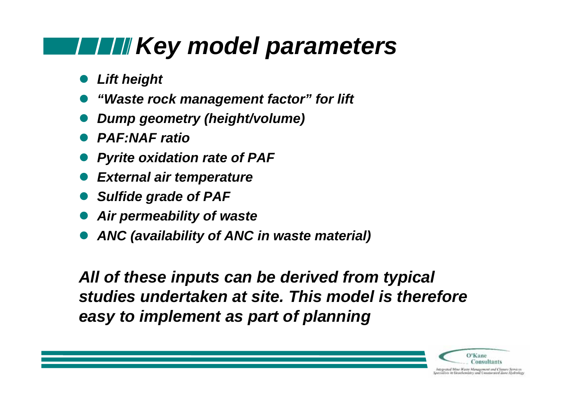## **Key model parameters Key model parameters**

- $\bullet$ *Lift height*
- $\bullet$ *"Waste rock management factor" for lift*
- $\bullet$ *Dump geometry (height/volume)*
- *PAF:NAF ratio*
- $\bullet$ *Pyrite oxidation rate of PAF*
- $\bullet$ *External air temperature*
- $\bullet$ *Sulfide grade of PAF*
- $\bullet$ *Air permeability of waste*
- $\bullet$ *ANC (availability of ANC in waste material)*

*All of these inputs can be derived from typical studies undertaken at site. This model is therefore easy to implement as part of planning* 

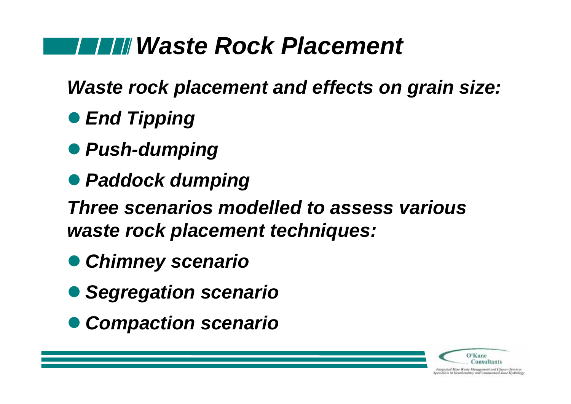## *Waste Rock Placement*

*Waste rock placement and effects on grain size:*

- **End Tipping**
- *Push-dumping*
- *Paddock dumping*

*Three scenarios modelled to assess various waste rock placement techniques:*

- *Chimney scenario*
- *Segregation scenario*
- *Compaction scenario*



hitegrated More Watte Monagement and Cleaure Services<br>Specialists in Geochemistry and University Zane Hydrolegy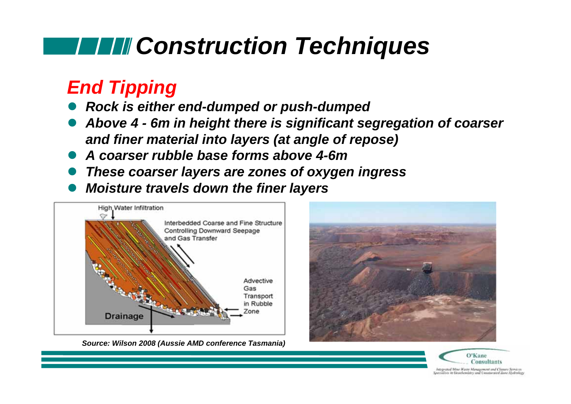## *Construction Techniques*

### *End Tipping*

- $\bullet$ *Rock is either end-dumped or push-dumped*
- $\bullet$  *Above 4 - 6m in height there is significant segregation of coarser and finer material into layers (at angle of repose)*
- $\bullet$ *A coarser rubble base forms above 4-6m*
- $\bullet$ *These coarser layers are zones of oxygen ingress*
- $\bullet$ *Moisture travels down the finer layers*



*Source: Wilson 2008 (Aussie AMD conference Tasmania)*



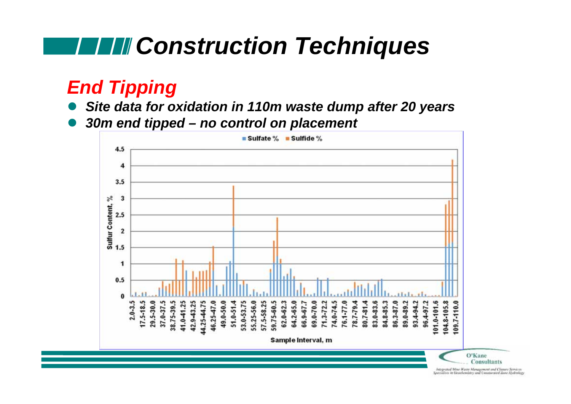## **FILI** Construction Techniques

### *End Tipping*

- $\bullet$ *Site data for oxidation in 110m waste dump after 20 years*
- $\bullet$ *30m end tipped – no control on placement*

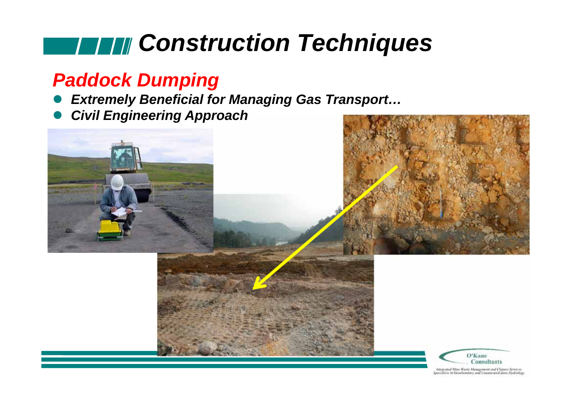# *Construction Techniques*

### *Paddock Dumping*

- *Extremely Beneficial for Managing Gas Transport…*
- *Civil Engineering Approach*

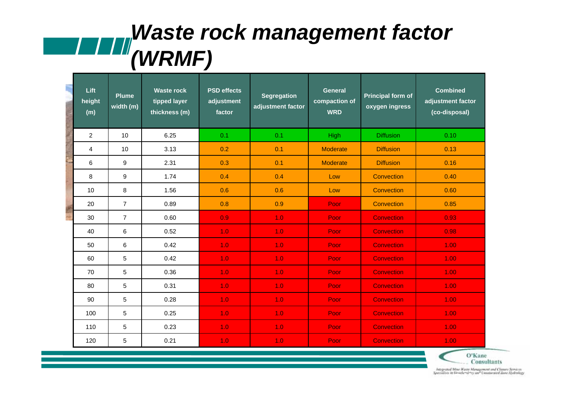### *Waste rock management factor (WRMF)*

|  | Lift<br>height<br>(m) | <b>Plume</b><br>width (m) | <b>Waste rock</b><br>tipped layer<br>thickness (m) | <b>PSD</b> effects<br>adjustment<br>factor | <b>Segregation</b><br>adjustment factor | <b>General</b><br>compaction of<br><b>WRD</b> | <b>Principal form of</b><br>oxygen ingress | <b>Combined</b><br>adjustment factor<br>(co-disposal) |
|--|-----------------------|---------------------------|----------------------------------------------------|--------------------------------------------|-----------------------------------------|-----------------------------------------------|--------------------------------------------|-------------------------------------------------------|
|  | 2                     | 10                        | 6.25                                               | 0.1                                        | 0.1                                     | High                                          | <b>Diffusion</b>                           | 0.10                                                  |
|  | 4                     | 10                        | 3.13                                               | 0.2                                        | 0.1                                     | <b>Moderate</b>                               | <b>Diffusion</b>                           | 0.13                                                  |
|  | 6                     | 9                         | 2.31                                               | 0.3                                        | 0.1                                     | <b>Moderate</b>                               | <b>Diffusion</b>                           | 0.16                                                  |
|  | 8                     | 9                         | 1.74                                               | 0.4                                        | 0.4                                     | Low                                           | Convection                                 | 0.40                                                  |
|  | 10                    | 8                         | 1.56                                               | 0.6                                        | 0.6                                     | Low                                           | Convection                                 | 0.60                                                  |
|  | 20                    | $\overline{7}$            | 0.89                                               | 0.8                                        | 0.9                                     | Poor                                          | Convection                                 | 0.85                                                  |
|  | 30                    | $\overline{7}$            | 0.60                                               | 0.9                                        | 1.0                                     | Poor                                          | <b>Convection</b>                          | 0.93                                                  |
|  | 40                    | 6                         | 0.52                                               | 1.0                                        | 1.0                                     | Poor                                          | <b>Convection</b>                          | 0.98                                                  |
|  | 50                    | 6                         | 0.42                                               | 1.0                                        | 1.0                                     | Poor                                          | <b>Convection</b>                          | 1.00                                                  |
|  | 60                    | 5                         | 0.42                                               | 1.0                                        | 1.0                                     | Poor                                          | <b>Convection</b>                          | 1.00                                                  |
|  | 70                    | 5                         | 0.36                                               | 1.0                                        | 1.0                                     | Poor                                          | <b>Convection</b>                          | 1.00                                                  |
|  | 80                    | 5                         | 0.31                                               | 1.0                                        | 1.0                                     | Poor                                          | <b>Convection</b>                          | 1.00                                                  |
|  | 90                    | 5                         | 0.28                                               | 1.0                                        | 1.0                                     | Poor                                          | <b>Convection</b>                          | 1.00                                                  |
|  | 100                   | 5                         | 0.25                                               | 1.0                                        | 1.0                                     | Poor                                          | <b>Convection</b>                          | 1.00                                                  |
|  | 110                   | 5                         | 0.23                                               | 1.0                                        | 1.0                                     | Poor                                          | <b>Convection</b>                          | 1.00                                                  |
|  | 120                   | 5                         | 0.21                                               | 1.0                                        | 1.0                                     | Poor                                          | <b>Convection</b>                          | 1.00                                                  |

O'Kane **Consultants** 

*OB23**Closure Closure Associates and Closure Slider Slider Slider Slider Slider Slider Slider Slider Slider Slider Slider Slider Slider Slider Slider Slider Slider Slider Slider Slider Slider Slider Slider Slider Slider*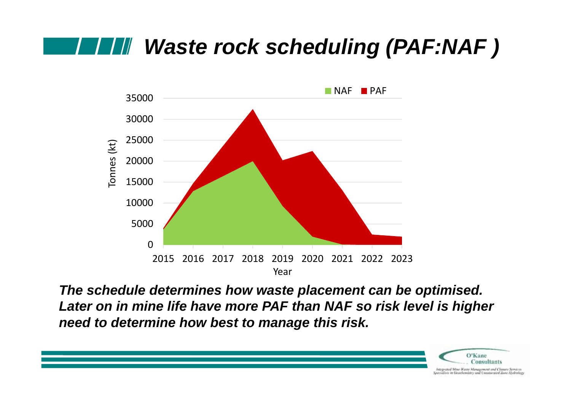### *Waste rock scheduling (PAF:NAF )*



*The schedule determines how waste placement can be optimised. Later on in mine life have more PAF than NAF so risk level is higher need to determine how best to manage this risk.*

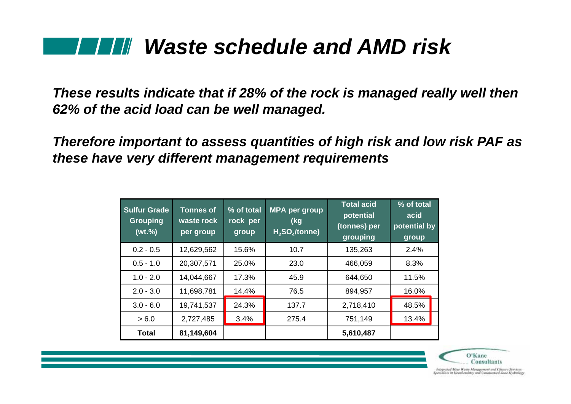### *Waste schedule and AMD risk*

*These results indicate that if 28% of the rock is managed really well then 62% of the acid load can be well managed.*

*Therefore important to assess quantities of high risk and low risk PAF as these have very different management requirements* 

| Sulfur Grade<br><b>Grouping</b><br>(wt. %) | <b>Tonnes of</b><br>waste rock<br>per group | % of total<br>rock per<br>group | <b>MPA per group</b><br>(kg<br>$H_2SO_4$ /tonne) | <b>Total acid</b><br>potential<br>(tonnes) per<br>grouping | % of total<br>acid<br>potential by<br>group |
|--------------------------------------------|---------------------------------------------|---------------------------------|--------------------------------------------------|------------------------------------------------------------|---------------------------------------------|
| $0.2 - 0.5$                                | 12,629,562                                  | 15.6%                           | 10.7                                             | 135,263                                                    | 2.4%                                        |
| $0.5 - 1.0$                                | 20,307,571                                  | 25.0%                           | 23.0                                             | 466,059                                                    | 8.3%                                        |
| $1.0 - 2.0$                                | 14,044,667                                  | 17.3%                           | 45.9                                             | 644,650                                                    | 11.5%                                       |
| $2.0 - 3.0$                                | 11,698,781                                  | 14.4%                           | 76.5                                             | 894,957                                                    | 16.0%                                       |
| $3.0 - 6.0$                                | 19,741,537                                  | 24.3%                           | 137.7                                            | 2,718,410                                                  | 48.5%                                       |
| > 6.0                                      | 2,727,485                                   | 3.4%                            | 275.4                                            | 751,149                                                    | 13.4%                                       |
| <b>Total</b>                               | 81,149,604                                  |                                 |                                                  | 5,610,487                                                  |                                             |



hitegrated More Watte Monagement and Cleaure Services<br>Specialists in Geochemistry and University Zane Hydrolegy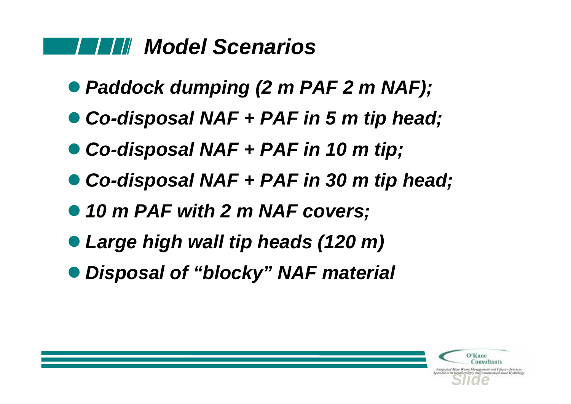### *Model Scenarios*

- *Paddock dumping (2 m PAF 2 m NAF);*
- *Co-disposal NAF + PAF in 5 m tip head;*
- *Co-disposal NAF + PAF in 10 m tip;*
- *Co-disposal NAF + PAF in 30 m tip head;*
- *10 m PAF with 2 m NAF covers;*
- *Large high wall tip heads (120 m)*
- *Disposal of "blocky" NAF material*

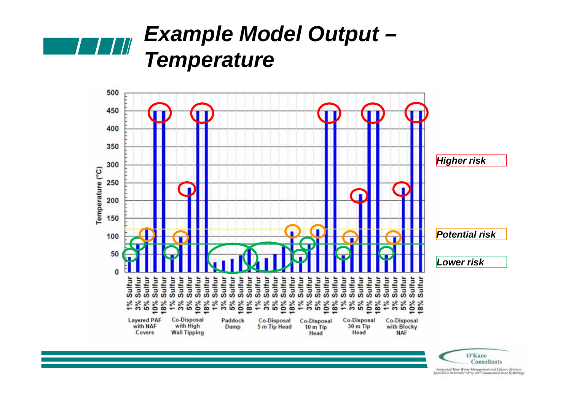

### *Example Model Output – Temperature*



*OB23**Closure Closure Associates and Closure Slider Slider Slider Slider Slider Slider Slider Slider Slider Slider Slider Slider Slider Slider Slider Slider Slider Slider Slider Slider Slider Slider Slider Slider Slider*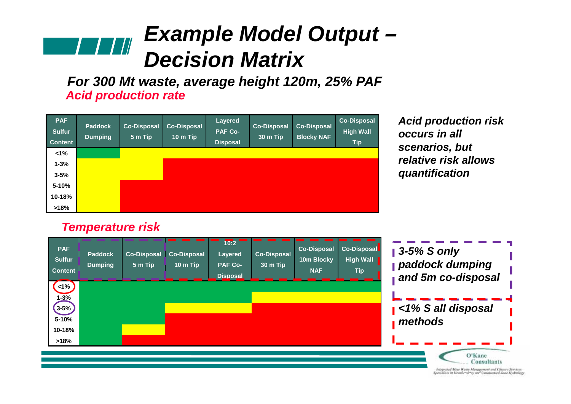### *Example Model Output – Decision Matrix*

*Acid production rate For 300 Mt waste, average height 120m, 25% PAF*

| <b>PAF</b><br><b>Sulfur</b><br><b>Content</b> | <b>Paddock</b><br><b>Dumping</b> | <b>Co-Disposal</b><br>$5m$ Tip | <b>Co-Disposal</b><br>10 m Tip | Layered<br><b>PAF Co-</b><br><b>Disposal</b> | <b>Co-Disposal</b><br>30 m Tip | <b>Co-Disposal</b><br><b>Blocky NAF</b> | <b>Co-Disposal</b><br><b>High Wall</b><br><b>Tip</b> |
|-----------------------------------------------|----------------------------------|--------------------------------|--------------------------------|----------------------------------------------|--------------------------------|-----------------------------------------|------------------------------------------------------|
| $1\%$                                         |                                  |                                |                                |                                              |                                |                                         |                                                      |
| $1 - 3%$                                      |                                  |                                |                                |                                              |                                |                                         |                                                      |
| $3 - 5%$                                      |                                  |                                |                                |                                              |                                |                                         |                                                      |
| 5-10%                                         |                                  |                                |                                |                                              |                                |                                         |                                                      |
| 10-18%                                        |                                  |                                |                                |                                              |                                |                                         |                                                      |
| >18%                                          |                                  |                                |                                |                                              |                                |                                         |                                                      |

*temperature so used as scenarios, but the proxy for risk\* relative risk allows Acid production risk occurs in all quantification* 

#### *Temperature risk*

| <b>PAF</b><br><b>Sulfur</b><br><b>Content</b> | <b>Paddock</b><br><b>Dumping</b> | 5 m Tip | Co-Disposal Co-Disposal<br>10 m Tip | 10:2<br><b>Layered</b><br><b>PAF Co-</b><br><b>Disposal</b> | <b>Co-Disposal</b><br>30 m Tip | <b>Co-Disposal</b><br>10m Blocky<br><b>NAF</b> | <b>Co-Disposal</b><br><b>High Wall</b><br><b>Tip</b> | $\vert$ 3-5% S only<br>paddock dumping<br>and 5m co-disposal |
|-----------------------------------------------|----------------------------------|---------|-------------------------------------|-------------------------------------------------------------|--------------------------------|------------------------------------------------|------------------------------------------------------|--------------------------------------------------------------|
| $<1\%$<br>$1 - 3%$<br>$3 - 5%$<br>$5 - 10%$   |                                  |         |                                     |                                                             |                                |                                                |                                                      | $\blacksquare$ <1% S all disposal<br>methods                 |
| 10-18%<br>>18%                                |                                  |         |                                     |                                                             |                                |                                                |                                                      | O'Kane<br>Consultants                                        |

*OB23**Closure Closure Associates and Closure Slider Slider Slider Slider Slider Slider Slider Slider Slider Slider Slider Slider Slider Slider Slider Slider Slider Slider Slider Slider Slider Slider Slider Slider Slider*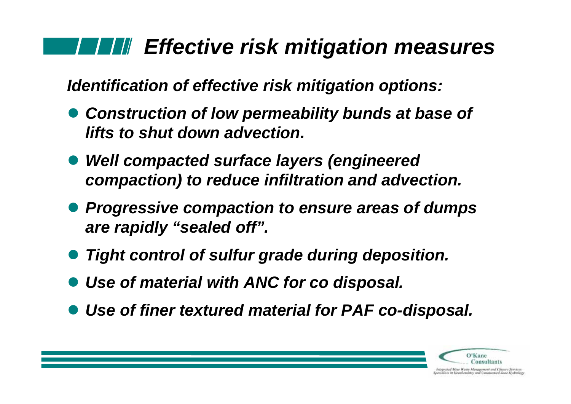### *Effective risk mitigation measures*

*Identification of effective risk mitigation options:*

- *Construction of low permeability bunds at base of lifts to shut down advection.*
- *Well compacted surface layers (engineered compaction) to reduce infiltration and advection.*
- *Progressive compaction to ensure areas of dumps are rapidly "sealed off".*
- *Tight control of sulfur grade during deposition.*
- *Use of material with ANC for co disposal.*
- *Use of finer textured material for PAF co-disposal.*



itegrated Mine Waire Monagement and Cleaure Services<br>realists in Geochemistry and Unsaturated Zone Hedrole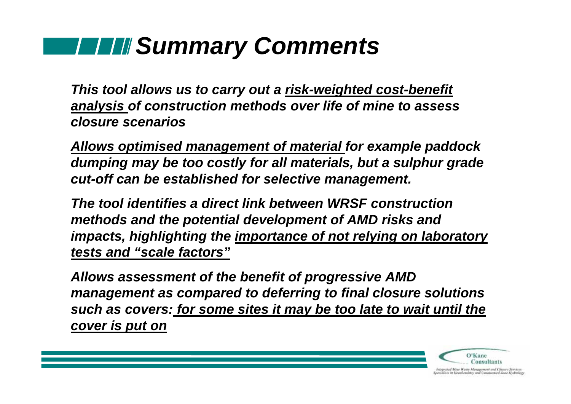## *Summary Comments*

*This tool allows us to carry out a risk-weighted cost-benefit analysis of construction methods over life of mine to assess closure scenarios*

*Allows optimised management of material for example paddock dumping may be too costly for all materials, but a sulphur grade cut-off can be established for selective management.* 

*The tool identifies a direct link between WRSF construction methods and the potential development of AMD risks and impacts, highlighting the importance of not relying on laboratory tests and "scale factors"*

*Allows assessment of the benefit of progressive AMD management as compared to deferring to final closure solutions such as covers: for some sites it may be too late to wait until the cover is put on* 

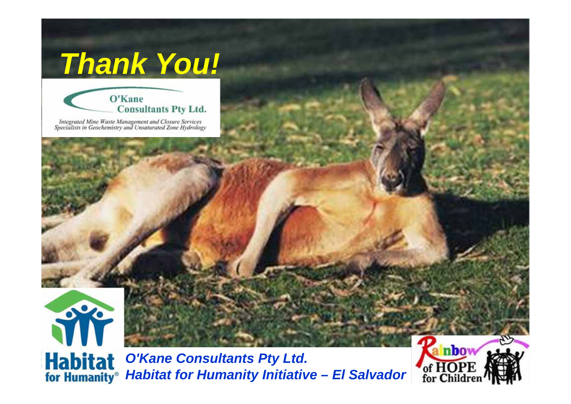# *Thank You!*



Integrated Mine Waste Management and Closure Services<br>Specialists in Geochemistry and Unsaturated Zone Hydrology



*O'Kane Consultants Pty Ltd.* **Habitat for Humanity Initiative – El Salvador** 

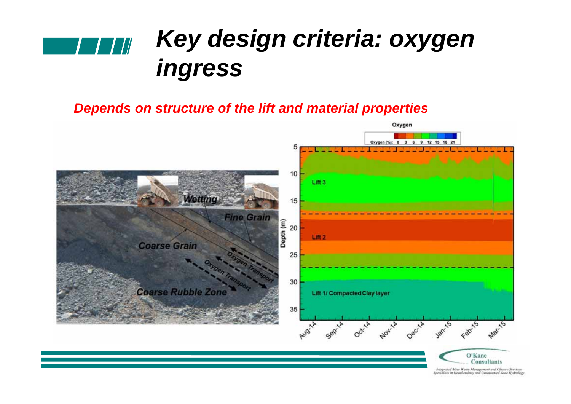

#### *Depends on structure of the lift and material properties*

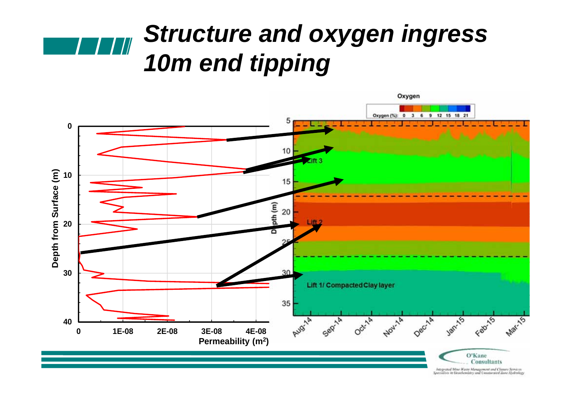### *Structure and oxygen ingress*   $\blacksquare$ *10m end tipping*

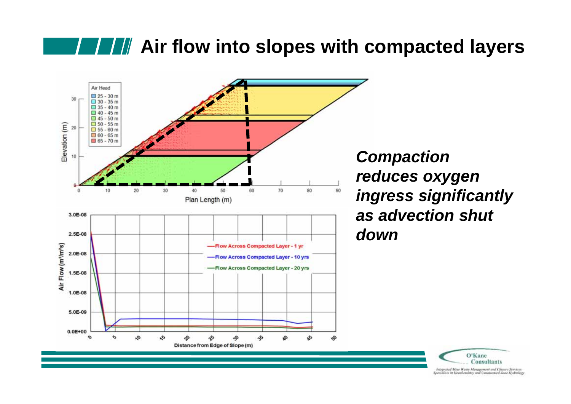### **AIF III** Air flow into slopes with compacted layers



*Compaction reduces oxygen ingress significantly as advection shut* 

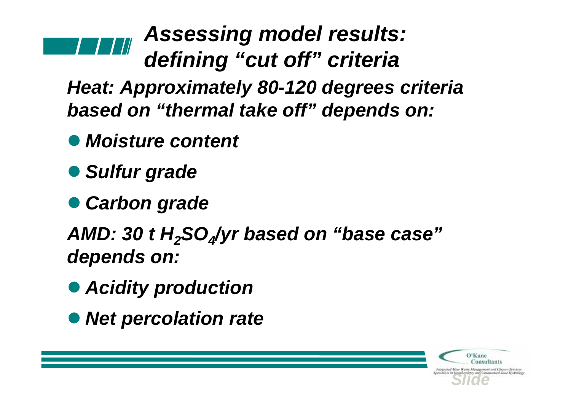# *Assessing model results: defining "cut off" criteria*

*Heat: Approximately 80-120 degrees criteria based on "thermal take off" depends on:*

- *Moisture content*
- *Sulfur grade*
- **Carbon grade**

*AMD: 30 t H2SO4/yr based on "base case" depends on:*

- *Acidity production*
- *Net percolation rate*

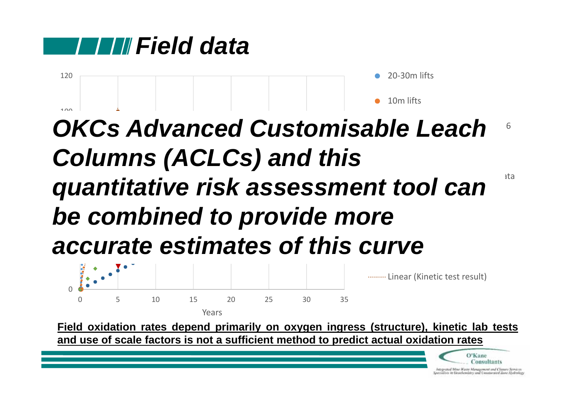



#### accurate estimates of this curve 40 61 80 *Range* oxidised  $\mathsf{A}\mathsf{A}\mathsf{A}\mathsf{A}\mathsf{A}$  and  $\mathsf{A}\mathsf{A}\mathsf{A}\mathsf{A}$ *OKCs Advanced Customisable Leach* **quantitative risk assessment tool can**  $\overline{\phantom{a}}^{^{112}}$ Log. (20‐30m lifts) *Columns (ACLCs) and this be combined to provide more*



Field oxidation rates depend primarily on oxygen ingress (structure), kinetic lab tests and use of scale factors is not a sufficient method to predict actual oxidation rates

hitegrated More Watte Monagement and Cleaure Services<br>Specialists in Geochemistry and University Zane Hydrolegy

O'Kane **Consultants**